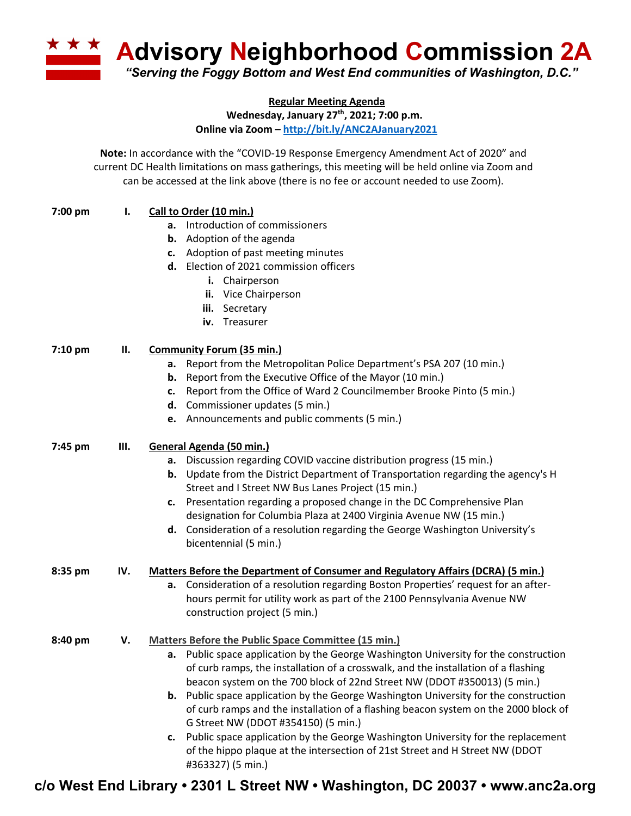**A Advisory Neighborhood Commission 2A** *"Serving the Foggy Bottom and West End communities of Washington, D.C."*

**Regular Meeting Agenda**

**Wednesday, January 27th, 2021; 7:00 p.m.**

**Online via Zoom – http://bit.ly/ANC2AJanuary2021**

**Note:** In accordance with the "COVID-19 Response Emergency Amendment Act of 2020" and current DC Health limitations on mass gatherings, this meeting will be held online via Zoom and can be accessed at the link above (there is no fee or account needed to use Zoom).

| 7:00 pm   | ı.  | Call to Order (10 min.)                                                                     |
|-----------|-----|---------------------------------------------------------------------------------------------|
|           |     | a. Introduction of commissioners                                                            |
|           |     | <b>b.</b> Adoption of the agenda                                                            |
|           |     | c. Adoption of past meeting minutes                                                         |
|           |     | d. Election of 2021 commission officers                                                     |
|           |     | i. Chairperson                                                                              |
|           |     | ii. Vice Chairperson                                                                        |
|           |     | iii. Secretary                                                                              |
|           |     | Treasurer<br>iv.                                                                            |
| $7:10$ pm | П.  | <b>Community Forum (35 min.)</b>                                                            |
|           |     | a. Report from the Metropolitan Police Department's PSA 207 (10 min.)                       |
|           |     | <b>b.</b> Report from the Executive Office of the Mayor (10 min.)                           |
|           |     | Report from the Office of Ward 2 Councilmember Brooke Pinto (5 min.)<br>c.                  |
|           |     | d. Commissioner updates (5 min.)                                                            |
|           |     | e. Announcements and public comments (5 min.)                                               |
| 7:45 pm   | Ш.  | General Agenda (50 min.)                                                                    |
|           |     | a. Discussion regarding COVID vaccine distribution progress (15 min.)                       |
|           |     | <b>b.</b> Update from the District Department of Transportation regarding the agency's H    |
|           |     | Street and I Street NW Bus Lanes Project (15 min.)                                          |
|           |     | c. Presentation regarding a proposed change in the DC Comprehensive Plan                    |
|           |     | designation for Columbia Plaza at 2400 Virginia Avenue NW (15 min.)                         |
|           |     | d. Consideration of a resolution regarding the George Washington University's               |
|           |     | bicentennial (5 min.)                                                                       |
| 8:35 pm   | IV. | <b>Matters Before the Department of Consumer and Regulatory Affairs (DCRA) (5 min.)</b>     |
|           |     | a. Consideration of a resolution regarding Boston Properties' request for an after-         |
|           |     | hours permit for utility work as part of the 2100 Pennsylvania Avenue NW                    |
|           |     | construction project (5 min.)                                                               |
| 8:40 pm   | V.  | Matters Before the Public Space Committee (15 min.)                                         |
|           |     | a. Public space application by the George Washington University for the construction        |
|           |     | of curb ramps, the installation of a crosswalk, and the installation of a flashing          |
|           |     | beacon system on the 700 block of 22nd Street NW (DDOT #350013) (5 min.)                    |
|           |     | <b>b.</b> Public space application by the George Washington University for the construction |
|           |     | of curb ramps and the installation of a flashing beacon system on the 2000 block of         |
|           |     | G Street NW (DDOT #354150) (5 min.)                                                         |
|           |     | Public space application by the George Washington University for the replacement<br>c.      |
|           |     | of the hippo plaque at the intersection of 21st Street and H Street NW (DDOT                |
|           |     | #363327) (5 min.)                                                                           |

**c/o West End Library • 2301 L Street NW • Washington, DC 20037 • www.anc2a.org**